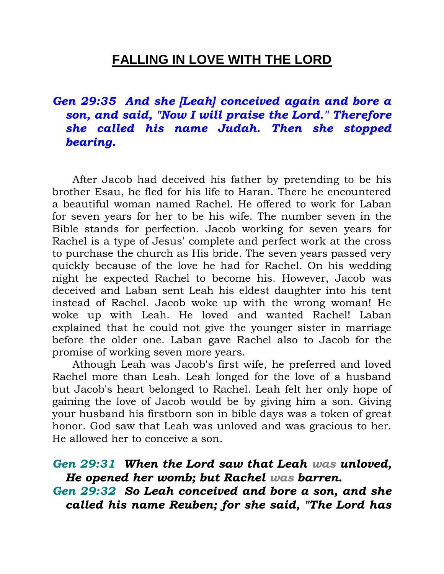# **FALLING IN LOVE WITH THE LORD**

*Gen 29:35 And she [Leah] conceived again and bore a son, and said, "Now I will praise the Lord." Therefore she called his name Judah. Then she stopped bearing.* 

 After Jacob had deceived his father by pretending to be his brother Esau, he fled for his life to Haran. There he encountered a beautiful woman named Rachel. He offered to work for Laban for seven years for her to be his wife. The number seven in the Bible stands for perfection. Jacob working for seven years for Rachel is a type of Jesus' complete and perfect work at the cross to purchase the church as His bride. The seven years passed very quickly because of the love he had for Rachel. On his wedding night he expected Rachel to become his. However, Jacob was deceived and Laban sent Leah his eldest daughter into his tent instead of Rachel. Jacob woke up with the wrong woman! He woke up with Leah. He loved and wanted Rachel! Laban explained that he could not give the younger sister in marriage before the older one. Laban gave Rachel also to Jacob for the promise of working seven more years.

 Athough Leah was Jacob's first wife, he preferred and loved Rachel more than Leah. Leah longed for the love of a husband but Jacob's heart belonged to Rachel. Leah felt her only hope of gaining the love of Jacob would be by giving him a son. Giving your husband his firstborn son in bible days was a token of great honor. God saw that Leah was unloved and was gracious to her. He allowed her to conceive a son.

*Gen 29:31 When the Lord saw that Leah was unloved, He opened her womb; but Rachel was barren.* 

*Gen 29:32 So Leah conceived and bore a son, and she called his name Reuben; for she said, "The Lord has*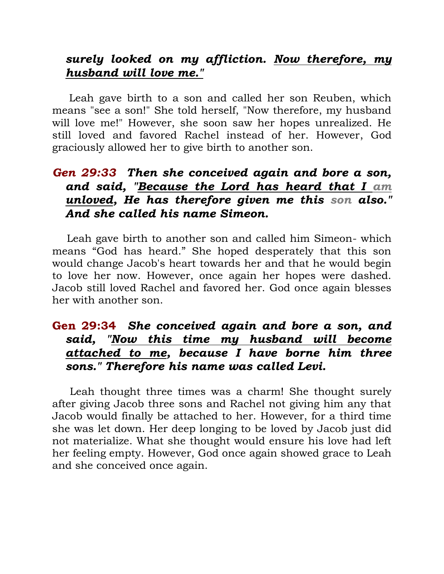### *surely looked on my affliction. Now therefore, my husband will love me."*

 Leah gave birth to a son and called her son Reuben, which means "see a son!" She told herself, "Now therefore, my husband will love me!" However, she soon saw her hopes unrealized. He still loved and favored Rachel instead of her. However, God graciously allowed her to give birth to another son.

## *Gen 29:33 Then she conceived again and bore a son, and said, "Because the Lord has heard that I am unloved, He has therefore given me this son also." And she called his name Simeon.*

 Leah gave birth to another son and called him Simeon- which means "God has heard." She hoped desperately that this son would change Jacob's heart towards her and that he would begin to love her now. However, once again her hopes were dashed. Jacob still loved Rachel and favored her. God once again blesses her with another son.

## **Gen 29:34** *She conceived again and bore a son, and said, "Now this time my husband will become attached to me, because I have borne him three sons." Therefore his name was called Levi.*

 Leah thought three times was a charm! She thought surely after giving Jacob three sons and Rachel not giving him any that Jacob would finally be attached to her. However, for a third time she was let down. Her deep longing to be loved by Jacob just did not materialize. What she thought would ensure his love had left her feeling empty. However, God once again showed grace to Leah and she conceived once again.